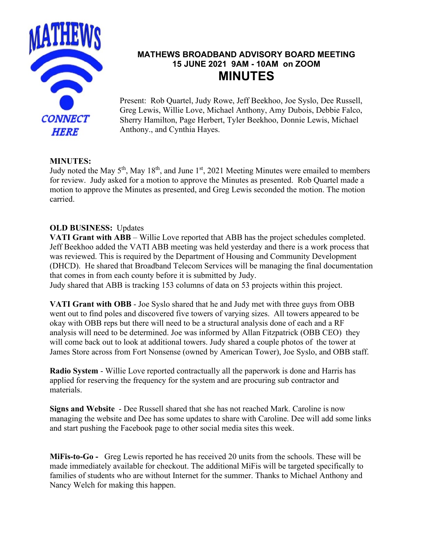

# **MATHEWS BROADBAND ADVISORY BOARD MEETING 15 JUNE 2021 9AM - 10AM on ZOOM MINUTES**

Present: Rob Quartel, Judy Rowe, Jeff Beekhoo, Joe Syslo, Dee Russell, Greg Lewis, Willie Love, Michael Anthony, Amy Dubois, Debbie Falco, Sherry Hamilton, Page Herbert, Tyler Beekhoo, Donnie Lewis, Michael Anthony., and Cynthia Hayes.

#### **MINUTES:**

Judy noted the May 5<sup>th</sup>, May 18<sup>th</sup>, and June 1<sup>st</sup>, 2021 Meeting Minutes were emailed to members for review. Judy asked for a motion to approve the Minutes as presented. Rob Quartel made a motion to approve the Minutes as presented, and Greg Lewis seconded the motion. The motion carried.

### **OLD BUSINESS:** Updates

**VATI Grant with ABB** – Willie Love reported that ABB has the project schedules completed. Jeff Beekhoo added the VATI ABB meeting was held yesterday and there is a work process that was reviewed. This is required by the Department of Housing and Community Development (DHCD). He shared that Broadband Telecom Services will be managing the final documentation that comes in from each county before it is submitted by Judy.

Judy shared that ABB is tracking 153 columns of data on 53 projects within this project.

**VATI Grant with OBB** - Joe Syslo shared that he and Judy met with three guys from OBB went out to find poles and discovered five towers of varying sizes. All towers appeared to be okay with OBB reps but there will need to be a structural analysis done of each and a RF analysis will need to be determined. Joe was informed by Allan Fitzpatrick (OBB CEO) they will come back out to look at additional towers. Judy shared a couple photos of the tower at James Store across from Fort Nonsense (owned by American Tower), Joe Syslo, and OBB staff.

**Radio System** - Willie Love reported contractually all the paperwork is done and Harris has applied for reserving the frequency for the system and are procuring sub contractor and materials.

**Signs and Website** - Dee Russell shared that she has not reached Mark. Caroline is now managing the website and Dee has some updates to share with Caroline. Dee will add some links and start pushing the Facebook page to other social media sites this week.

**MiFis-to-Go -** Greg Lewis reported he has received 20 units from the schools. These will be made immediately available for checkout. The additional MiFis will be targeted specifically to families of students who are without Internet for the summer. Thanks to Michael Anthony and Nancy Welch for making this happen.